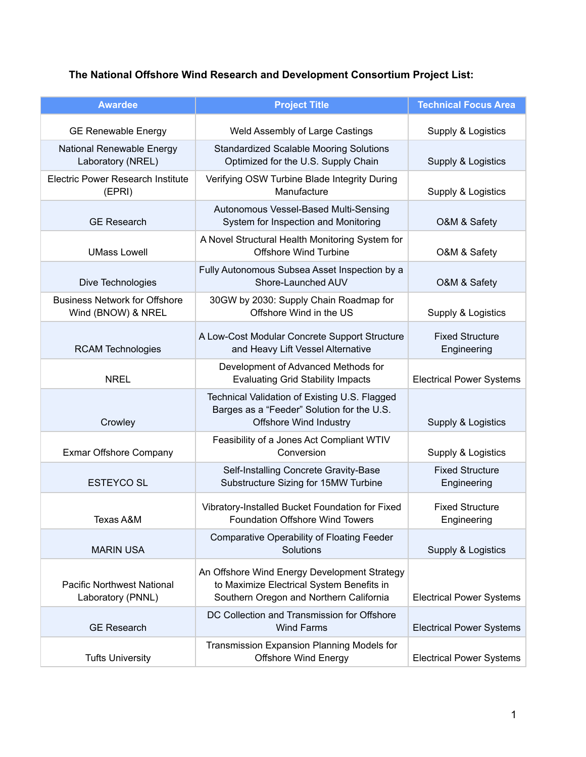## **The National Offshore Wind Research and Development Consortium Project List:**

| <b>Awardee</b>                                             | <b>Project Title</b>                                                                                                                 | <b>Technical Focus Area</b>           |
|------------------------------------------------------------|--------------------------------------------------------------------------------------------------------------------------------------|---------------------------------------|
| <b>GE Renewable Energy</b>                                 | Weld Assembly of Large Castings                                                                                                      | Supply & Logistics                    |
| National Renewable Energy<br>Laboratory (NREL)             | <b>Standardized Scalable Mooring Solutions</b><br>Optimized for the U.S. Supply Chain                                                | Supply & Logistics                    |
| <b>Electric Power Research Institute</b><br>(EPRI)         | Verifying OSW Turbine Blade Integrity During<br>Manufacture                                                                          | Supply & Logistics                    |
| <b>GE Research</b>                                         | Autonomous Vessel-Based Multi-Sensing<br>System for Inspection and Monitoring                                                        | O&M & Safety                          |
| <b>UMass Lowell</b>                                        | A Novel Structural Health Monitoring System for<br><b>Offshore Wind Turbine</b>                                                      | O&M & Safety                          |
| Dive Technologies                                          | Fully Autonomous Subsea Asset Inspection by a<br>Shore-Launched AUV                                                                  | O&M & Safety                          |
| <b>Business Network for Offshore</b><br>Wind (BNOW) & NREL | 30GW by 2030: Supply Chain Roadmap for<br>Offshore Wind in the US                                                                    | Supply & Logistics                    |
| <b>RCAM Technologies</b>                                   | A Low-Cost Modular Concrete Support Structure<br>and Heavy Lift Vessel Alternative                                                   | <b>Fixed Structure</b><br>Engineering |
| <b>NREL</b>                                                | Development of Advanced Methods for<br><b>Evaluating Grid Stability Impacts</b>                                                      | <b>Electrical Power Systems</b>       |
| Crowley                                                    | Technical Validation of Existing U.S. Flagged<br>Barges as a "Feeder" Solution for the U.S.<br><b>Offshore Wind Industry</b>         | Supply & Logistics                    |
| Exmar Offshore Company                                     | Feasibility of a Jones Act Compliant WTIV<br>Conversion                                                                              | Supply & Logistics                    |
| <b>ESTEYCO SL</b>                                          | Self-Installing Concrete Gravity-Base<br>Substructure Sizing for 15MW Turbine                                                        | <b>Fixed Structure</b><br>Engineering |
| Texas A&M                                                  | Vibratory-Installed Bucket Foundation for Fixed<br><b>Foundation Offshore Wind Towers</b>                                            | <b>Fixed Structure</b><br>Engineering |
| <b>MARIN USA</b>                                           | Comparative Operability of Floating Feeder<br>Solutions                                                                              | Supply & Logistics                    |
| <b>Pacific Northwest National</b><br>Laboratory (PNNL)     | An Offshore Wind Energy Development Strategy<br>to Maximize Electrical System Benefits in<br>Southern Oregon and Northern California | <b>Electrical Power Systems</b>       |
| <b>GE Research</b>                                         | DC Collection and Transmission for Offshore<br><b>Wind Farms</b>                                                                     | <b>Electrical Power Systems</b>       |
| <b>Tufts University</b>                                    | Transmission Expansion Planning Models for<br><b>Offshore Wind Energy</b>                                                            | <b>Electrical Power Systems</b>       |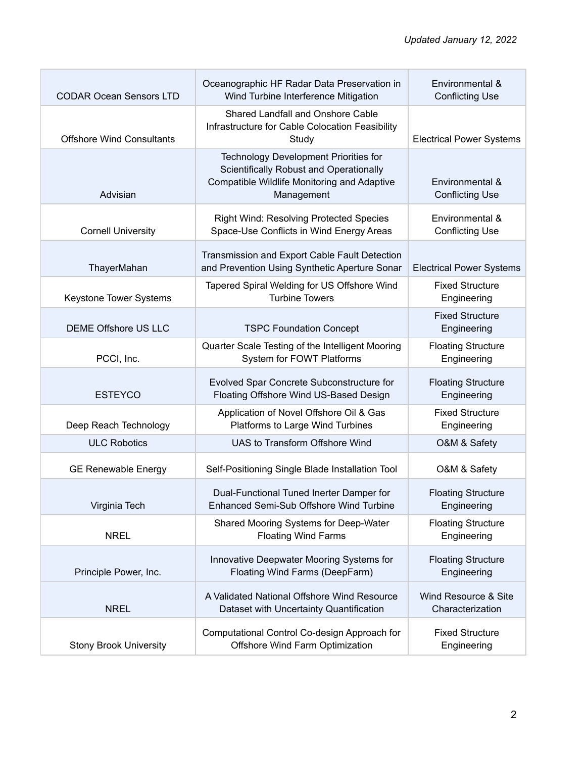| <b>CODAR Ocean Sensors LTD</b>   | Oceanographic HF Radar Data Preservation in<br>Wind Turbine Interference Mitigation                                                                  | Environmental &<br><b>Conflicting Use</b> |
|----------------------------------|------------------------------------------------------------------------------------------------------------------------------------------------------|-------------------------------------------|
| <b>Offshore Wind Consultants</b> | Shared Landfall and Onshore Cable<br>Infrastructure for Cable Colocation Feasibility<br>Study                                                        | <b>Electrical Power Systems</b>           |
| Advisian                         | <b>Technology Development Priorities for</b><br>Scientifically Robust and Operationally<br>Compatible Wildlife Monitoring and Adaptive<br>Management | Environmental &<br><b>Conflicting Use</b> |
| <b>Cornell University</b>        | <b>Right Wind: Resolving Protected Species</b><br>Space-Use Conflicts in Wind Energy Areas                                                           | Environmental &<br><b>Conflicting Use</b> |
| ThayerMahan                      | Transmission and Export Cable Fault Detection<br>and Prevention Using Synthetic Aperture Sonar                                                       | <b>Electrical Power Systems</b>           |
| Keystone Tower Systems           | Tapered Spiral Welding for US Offshore Wind<br><b>Turbine Towers</b>                                                                                 | <b>Fixed Structure</b><br>Engineering     |
| <b>DEME Offshore US LLC</b>      | <b>TSPC Foundation Concept</b>                                                                                                                       | <b>Fixed Structure</b><br>Engineering     |
| PCCI, Inc.                       | Quarter Scale Testing of the Intelligent Mooring<br>System for FOWT Platforms                                                                        | <b>Floating Structure</b><br>Engineering  |
| <b>ESTEYCO</b>                   | Evolved Spar Concrete Subconstructure for<br>Floating Offshore Wind US-Based Design                                                                  | <b>Floating Structure</b><br>Engineering  |
| Deep Reach Technology            | Application of Novel Offshore Oil & Gas<br>Platforms to Large Wind Turbines                                                                          | <b>Fixed Structure</b><br>Engineering     |
| <b>ULC Robotics</b>              | UAS to Transform Offshore Wind                                                                                                                       | O&M & Safety                              |
| <b>GE Renewable Energy</b>       | Self-Positioning Single Blade Installation Tool                                                                                                      | O&M & Safety                              |
| Virginia Tech                    | Dual-Functional Tuned Inerter Damper for<br>Enhanced Semi-Sub Offshore Wind Turbine                                                                  | <b>Floating Structure</b><br>Engineering  |
| <b>NREL</b>                      | Shared Mooring Systems for Deep-Water<br><b>Floating Wind Farms</b>                                                                                  | <b>Floating Structure</b><br>Engineering  |
| Principle Power, Inc.            | Innovative Deepwater Mooring Systems for<br>Floating Wind Farms (DeepFarm)                                                                           | <b>Floating Structure</b><br>Engineering  |
| <b>NREL</b>                      | A Validated National Offshore Wind Resource<br>Dataset with Uncertainty Quantification                                                               | Wind Resource & Site<br>Characterization  |
| <b>Stony Brook University</b>    | Computational Control Co-design Approach for<br>Offshore Wind Farm Optimization                                                                      | <b>Fixed Structure</b><br>Engineering     |